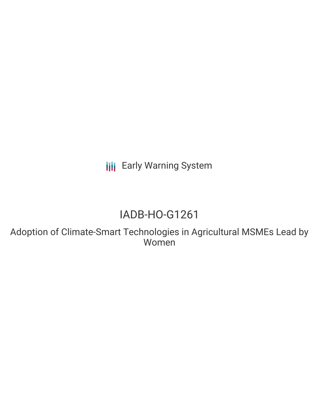**III** Early Warning System

# IADB-HO-G1261

Adoption of Climate-Smart Technologies in Agricultural MSMEs Lead by Women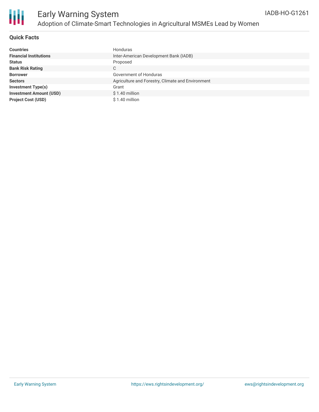

### **Quick Facts**

| <b>Countries</b>               | Honduras                                          |
|--------------------------------|---------------------------------------------------|
| <b>Financial Institutions</b>  | Inter-American Development Bank (IADB)            |
| <b>Status</b>                  | Proposed                                          |
| <b>Bank Risk Rating</b>        | C                                                 |
| <b>Borrower</b>                | Government of Honduras                            |
| <b>Sectors</b>                 | Agriculture and Forestry, Climate and Environment |
| <b>Investment Type(s)</b>      | Grant                                             |
| <b>Investment Amount (USD)</b> | $$1.40$ million                                   |
| <b>Project Cost (USD)</b>      | $$1.40$ million                                   |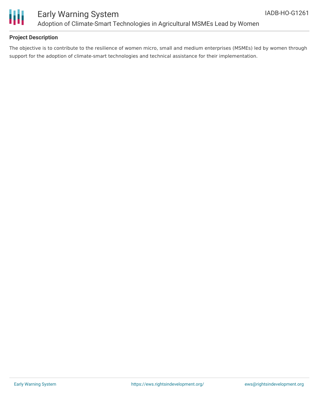

## **Project Description**

The objective is to contribute to the resilience of women micro, small and medium enterprises (MSMEs) led by women through support for the adoption of climate-smart technologies and technical assistance for their implementation.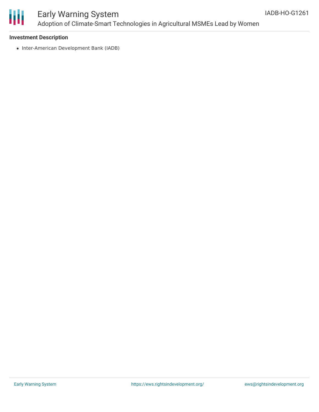

# Early Warning System Adoption of Climate-Smart Technologies in Agricultural MSMEs Lead by Women

### **Investment Description**

• Inter-American Development Bank (IADB)